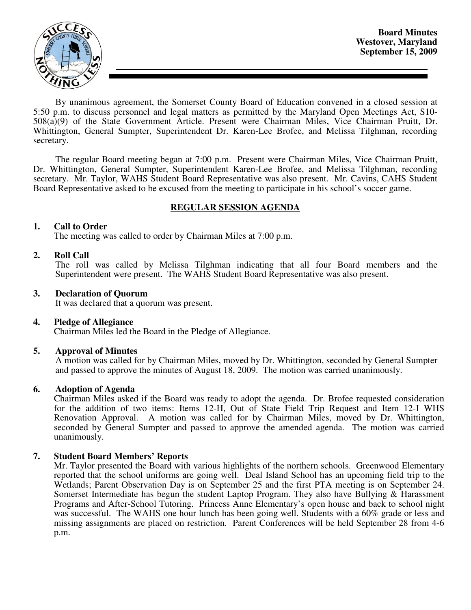

**Board Minutes Westover, Maryland September 15, 2009** 

By unanimous agreement, the Somerset County Board of Education convened in a closed session at 5:50 p.m. to discuss personnel and legal matters as permitted by the Maryland Open Meetings Act, S10- 508(a)(9) of the State Government Article. Present were Chairman Miles, Vice Chairman Pruitt, Dr. Whittington, General Sumpter, Superintendent Dr. Karen-Lee Brofee, and Melissa Tilghman, recording secretary.

The regular Board meeting began at 7:00 p.m. Present were Chairman Miles, Vice Chairman Pruitt, Dr. Whittington, General Sumpter, Superintendent Karen-Lee Brofee, and Melissa Tilghman, recording secretary. Mr. Taylor, WAHS Student Board Representative was also present. Mr. Cavins, CAHS Student Board Representative asked to be excused from the meeting to participate in his school's soccer game.

## **REGULAR SESSION AGENDA**

### **1. Call to Order**

The meeting was called to order by Chairman Miles at 7:00 p.m.

### **2. Roll Call**

The roll was called by Melissa Tilghman indicating that all four Board members and the Superintendent were present. The WAHS Student Board Representative was also present.

#### **3. Declaration of Quorum**

It was declared that a quorum was present.

#### **4. Pledge of Allegiance**

Chairman Miles led the Board in the Pledge of Allegiance.

#### **5. Approval of Minutes**

 A motion was called for by Chairman Miles, moved by Dr. Whittington, seconded by General Sumpter and passed to approve the minutes of August 18, 2009. The motion was carried unanimously.

#### **6. Adoption of Agenda**

 Chairman Miles asked if the Board was ready to adopt the agenda. Dr. Brofee requested consideration for the addition of two items: Items 12-H, Out of State Field Trip Request and Item 12-I WHS Renovation Approval. A motion was called for by Chairman Miles, moved by Dr. Whittington, seconded by General Sumpter and passed to approve the amended agenda. The motion was carried unanimously.

## **7. Student Board Members' Reports**

Mr. Taylor presented the Board with various highlights of the northern schools. Greenwood Elementary reported that the school uniforms are going well. Deal Island School has an upcoming field trip to the Wetlands; Parent Observation Day is on September 25 and the first PTA meeting is on September 24. Somerset Intermediate has begun the student Laptop Program. They also have Bullying & Harassment Programs and After-School Tutoring. Princess Anne Elementary's open house and back to school night was successful. The WAHS one hour lunch has been going well. Students with a 60% grade or less and missing assignments are placed on restriction. Parent Conferences will be held September 28 from 4-6 p.m.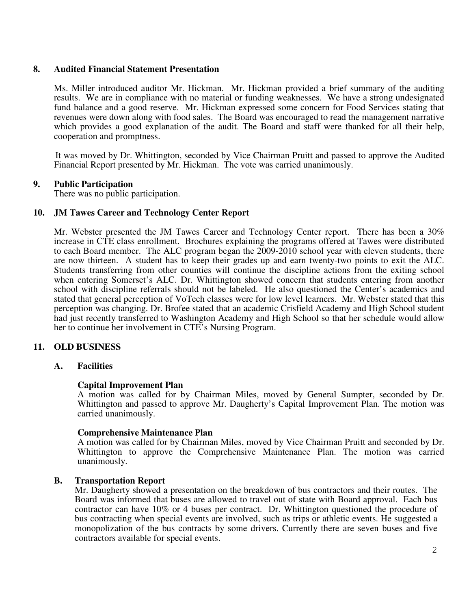### **8. Audited Financial Statement Presentation**

Ms. Miller introduced auditor Mr. Hickman. Mr. Hickman provided a brief summary of the auditing results. We are in compliance with no material or funding weaknesses. We have a strong undesignated fund balance and a good reserve. Mr. Hickman expressed some concern for Food Services stating that revenues were down along with food sales. The Board was encouraged to read the management narrative which provides a good explanation of the audit. The Board and staff were thanked for all their help, cooperation and promptness.

 It was moved by Dr. Whittington, seconded by Vice Chairman Pruitt and passed to approve the Audited Financial Report presented by Mr. Hickman. The vote was carried unanimously.

### **9. Public Participation**

There was no public participation.

### **10. JM Tawes Career and Technology Center Report**

Mr. Webster presented the JM Tawes Career and Technology Center report. There has been a 30% increase in CTE class enrollment. Brochures explaining the programs offered at Tawes were distributed to each Board member. The ALC program began the 2009-2010 school year with eleven students, there are now thirteen. A student has to keep their grades up and earn twenty-two points to exit the ALC. Students transferring from other counties will continue the discipline actions from the exiting school when entering Somerset's ALC. Dr. Whittington showed concern that students entering from another school with discipline referrals should not be labeled. He also questioned the Center's academics and stated that general perception of VoTech classes were for low level learners. Mr. Webster stated that this perception was changing. Dr. Brofee stated that an academic Crisfield Academy and High School student had just recently transferred to Washington Academy and High School so that her schedule would allow her to continue her involvement in CTE's Nursing Program.

## **11. OLD BUSINESS**

#### **A. Facilities**

#### **Capital Improvement Plan**

 A motion was called for by Chairman Miles, moved by General Sumpter, seconded by Dr. Whittington and passed to approve Mr. Daugherty's Capital Improvement Plan. The motion was carried unanimously.

#### **Comprehensive Maintenance Plan**

 A motion was called for by Chairman Miles, moved by Vice Chairman Pruitt and seconded by Dr. Whittington to approve the Comprehensive Maintenance Plan. The motion was carried unanimously.

#### **B. Transportation Report**

Mr. Daugherty showed a presentation on the breakdown of bus contractors and their routes. The Board was informed that buses are allowed to travel out of state with Board approval. Each bus contractor can have 10% or 4 buses per contract. Dr. Whittington questioned the procedure of bus contracting when special events are involved, such as trips or athletic events. He suggested a monopolization of the bus contracts by some drivers. Currently there are seven buses and five contractors available for special events.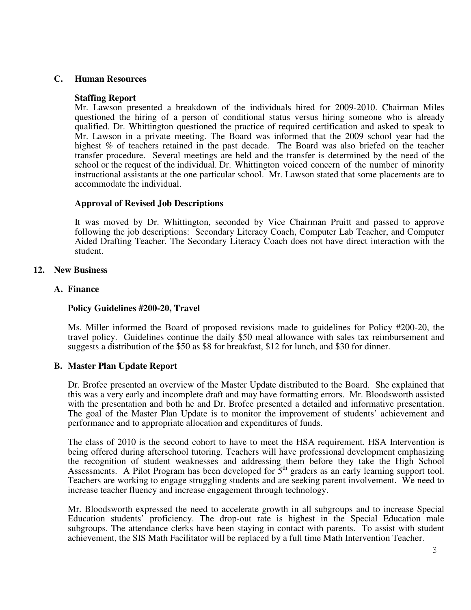### **C. Human Resources**

#### **Staffing Report**

 Mr. Lawson presented a breakdown of the individuals hired for 2009-2010. Chairman Miles questioned the hiring of a person of conditional status versus hiring someone who is already qualified. Dr. Whittington questioned the practice of required certification and asked to speak to Mr. Lawson in a private meeting. The Board was informed that the 2009 school year had the highest % of teachers retained in the past decade. The Board was also briefed on the teacher transfer procedure. Several meetings are held and the transfer is determined by the need of the school or the request of the individual. Dr. Whittington voiced concern of the number of minority instructional assistants at the one particular school. Mr. Lawson stated that some placements are to accommodate the individual.

## **Approval of Revised Job Descriptions**

 It was moved by Dr. Whittington, seconded by Vice Chairman Pruitt and passed to approve following the job descriptions: Secondary Literacy Coach, Computer Lab Teacher, and Computer Aided Drafting Teacher. The Secondary Literacy Coach does not have direct interaction with the student.

### **12. New Business**

### **A. Finance**

### **Policy Guidelines #200-20, Travel**

Ms. Miller informed the Board of proposed revisions made to guidelines for Policy #200-20, the travel policy. Guidelines continue the daily \$50 meal allowance with sales tax reimbursement and suggests a distribution of the \$50 as \$8 for breakfast, \$12 for lunch, and \$30 for dinner.

## **B. Master Plan Update Report**

Dr. Brofee presented an overview of the Master Update distributed to the Board. She explained that this was a very early and incomplete draft and may have formatting errors. Mr. Bloodsworth assisted with the presentation and both he and Dr. Brofee presented a detailed and informative presentation. The goal of the Master Plan Update is to monitor the improvement of students' achievement and performance and to appropriate allocation and expenditures of funds.

The class of 2010 is the second cohort to have to meet the HSA requirement. HSA Intervention is being offered during afterschool tutoring. Teachers will have professional development emphasizing the recognition of student weaknesses and addressing them before they take the High School Assessments. A Pilot Program has been developed for  $5<sup>th</sup>$  graders as an early learning support tool. Teachers are working to engage struggling students and are seeking parent involvement. We need to increase teacher fluency and increase engagement through technology.

Mr. Bloodsworth expressed the need to accelerate growth in all subgroups and to increase Special Education students' proficiency. The drop-out rate is highest in the Special Education male subgroups. The attendance clerks have been staying in contact with parents. To assist with student achievement, the SIS Math Facilitator will be replaced by a full time Math Intervention Teacher.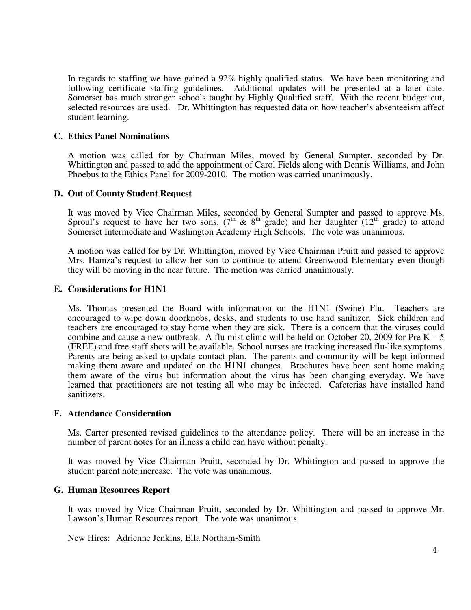In regards to staffing we have gained a 92% highly qualified status. We have been monitoring and following certificate staffing guidelines. Additional updates will be presented at a later date. Somerset has much stronger schools taught by Highly Qualified staff. With the recent budget cut, selected resources are used. Dr. Whittington has requested data on how teacher's absenteeism affect student learning.

### **C**. **Ethics Panel Nominations**

A motion was called for by Chairman Miles, moved by General Sumpter, seconded by Dr. Whittington and passed to add the appointment of Carol Fields along with Dennis Williams, and John Phoebus to the Ethics Panel for 2009-2010. The motion was carried unanimously.

### **D. Out of County Student Request**

It was moved by Vice Chairman Miles, seconded by General Sumpter and passed to approve Ms. Sproul's request to have her two sons,  $(7^{th} \& 8^{th} \text{ grade})$  and her daughter  $(12^{th} \text{ grade})$  to attend Somerset Intermediate and Washington Academy High Schools. The vote was unanimous.

A motion was called for by Dr. Whittington, moved by Vice Chairman Pruitt and passed to approve Mrs. Hamza's request to allow her son to continue to attend Greenwood Elementary even though they will be moving in the near future. The motion was carried unanimously.

#### **E. Considerations for H1N1**

Ms. Thomas presented the Board with information on the H1N1 (Swine) Flu. Teachers are encouraged to wipe down doorknobs, desks, and students to use hand sanitizer. Sick children and teachers are encouraged to stay home when they are sick. There is a concern that the viruses could combine and cause a new outbreak. A flu mist clinic will be held on October 20, 2009 for Pre  $K - 5$ (FREE) and free staff shots will be available. School nurses are tracking increased flu-like symptoms. Parents are being asked to update contact plan. The parents and community will be kept informed making them aware and updated on the H1N1 changes. Brochures have been sent home making them aware of the virus but information about the virus has been changing everyday. We have learned that practitioners are not testing all who may be infected. Cafeterias have installed hand sanitizers.

#### **F. Attendance Consideration**

Ms. Carter presented revised guidelines to the attendance policy. There will be an increase in the number of parent notes for an illness a child can have without penalty.

It was moved by Vice Chairman Pruitt, seconded by Dr. Whittington and passed to approve the student parent note increase. The vote was unanimous.

#### **G. Human Resources Report**

It was moved by Vice Chairman Pruitt, seconded by Dr. Whittington and passed to approve Mr. Lawson's Human Resources report. The vote was unanimous.

New Hires: Adrienne Jenkins, Ella Northam-Smith